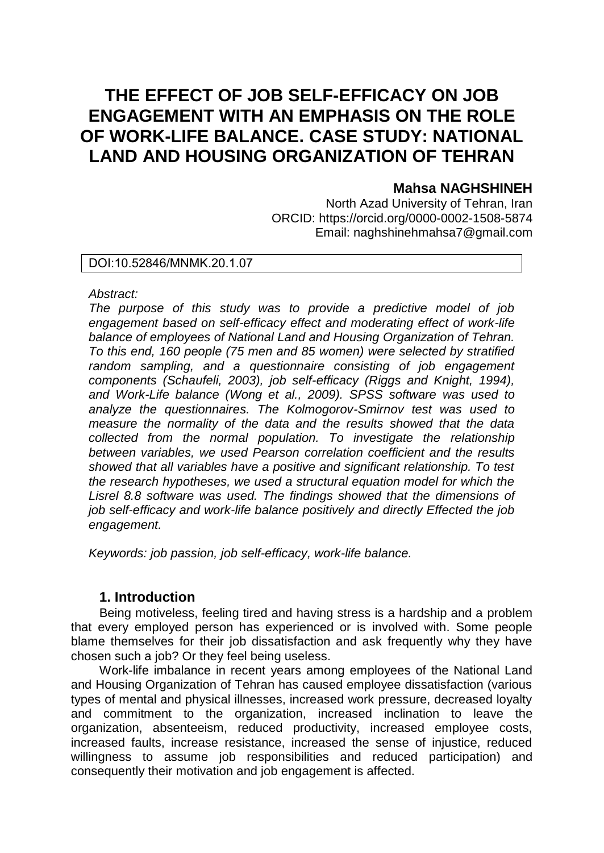# **THE EFFECT OF JOB SELF-EFFICACY ON JOB ENGAGEMENT WITH AN EMPHASIS ON THE ROLE OF WORK-LIFE BALANCE. CASE STUDY: NATIONAL LAND AND HOUSING ORGANIZATION OF TEHRAN**

# **Mahsa NAGHSHINEH**

North Azad University of Tehran, Iran ORCID: https://orcid.org/0000-0002-1508-5874 Email: naghshinehmahsa7@gmail.com

### DOI:10.52846/MNMK.20.1.07

#### *Abstract:*

*The purpose of this study was to provide a predictive model of job engagement based on self-efficacy effect and moderating effect of work-life balance of employees of National Land and Housing Organization of Tehran. To this end, 160 people (75 men and 85 women) were selected by stratified random sampling, and a questionnaire consisting of job engagement components (Schaufeli, 2003), job self-efficacy (Riggs and Knight, 1994), and Work-Life balance (Wong et al., 2009). SPSS software was used to analyze the questionnaires. The Kolmogorov-Smirnov test was used to measure the normality of the data and the results showed that the data collected from the normal population. To investigate the relationship between variables, we used Pearson correlation coefficient and the results showed that all variables have a positive and significant relationship. To test the research hypotheses, we used a structural equation model for which the Lisrel 8.8 software was used. The findings showed that the dimensions of job self-efficacy and work-life balance positively and directly Effected the job engagement.* 

*Keywords: job passion, job self-efficacy, work-life balance.* 

### **1. Introduction**

Being motiveless, feeling tired and having stress is a hardship and a problem that every employed person has experienced or is involved with. Some people blame themselves for their job dissatisfaction and ask frequently why they have chosen such a job? Or they feel being useless.

Work-life imbalance in recent years among employees of the National Land and Housing Organization of Tehran has caused employee dissatisfaction (various types of mental and physical illnesses, increased work pressure, decreased loyalty and commitment to the organization, increased inclination to leave the organization, absenteeism, reduced productivity, increased employee costs, increased faults, increase resistance, increased the sense of injustice, reduced willingness to assume job responsibilities and reduced participation) and consequently their motivation and job engagement is affected.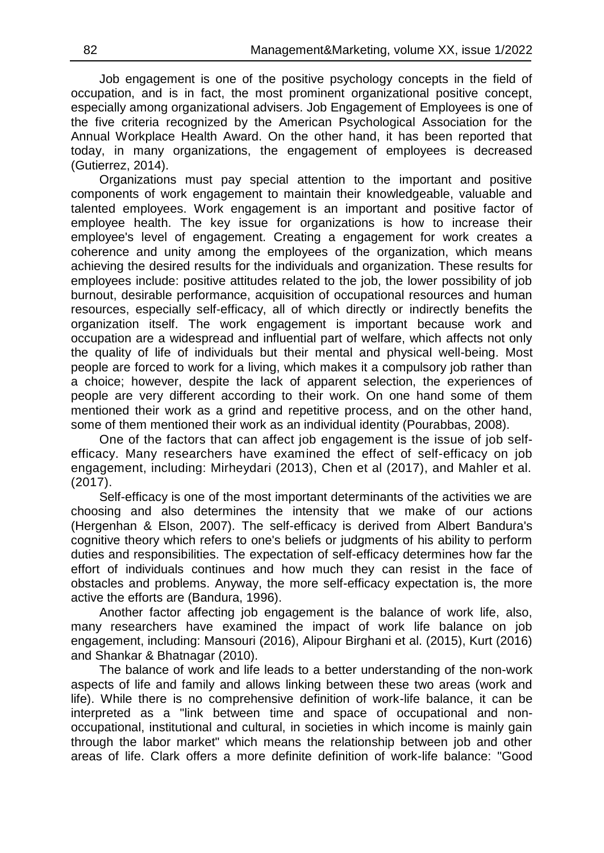Job engagement is one of the positive psychology concepts in the field of occupation, and is in fact, the most prominent organizational positive concept, especially among organizational advisers. Job Engagement of Employees is one of the five criteria recognized by the American Psychological Association for the Annual Workplace Health Award. On the other hand, it has been reported that today, in many organizations, the engagement of employees is decreased (Gutierrez, 2014).

Organizations must pay special attention to the important and positive components of work engagement to maintain their knowledgeable, valuable and talented employees. Work engagement is an important and positive factor of employee health. The key issue for organizations is how to increase their employee's level of engagement. Creating a engagement for work creates a coherence and unity among the employees of the organization, which means achieving the desired results for the individuals and organization. These results for employees include: positive attitudes related to the job, the lower possibility of job burnout, desirable performance, acquisition of occupational resources and human resources, especially self-efficacy, all of which directly or indirectly benefits the organization itself. The work engagement is important because work and occupation are a widespread and influential part of welfare, which affects not only the quality of life of individuals but their mental and physical well-being. Most people are forced to work for a living, which makes it a compulsory job rather than a choice; however, despite the lack of apparent selection, the experiences of people are very different according to their work. On one hand some of them mentioned their work as a grind and repetitive process, and on the other hand, some of them mentioned their work as an individual identity (Pourabbas, 2008).

One of the factors that can affect job engagement is the issue of job selfefficacy. Many researchers have examined the effect of self-efficacy on job engagement, including: Mirheydari (2013), Chen et al (2017), and Mahler et al. (2017).

Self-efficacy is one of the most important determinants of the activities we are choosing and also determines the intensity that we make of our actions (Hergenhan & Elson, 2007). The self-efficacy is derived from Albert Bandura's cognitive theory which refers to one's beliefs or judgments of his ability to perform duties and responsibilities. The expectation of self-efficacy determines how far the effort of individuals continues and how much they can resist in the face of obstacles and problems. Anyway, the more self-efficacy expectation is, the more active the efforts are (Bandura, 1996).

Another factor affecting job engagement is the balance of work life, also, many researchers have examined the impact of work life balance on job engagement, including: Mansouri (2016), Alipour Birghani et al. (2015), Kurt (2016) and Shankar & Bhatnagar (2010).

The balance of work and life leads to a better understanding of the non-work aspects of life and family and allows linking between these two areas (work and life). While there is no comprehensive definition of work-life balance, it can be interpreted as a "link between time and space of occupational and nonoccupational, institutional and cultural, in societies in which income is mainly gain through the labor market" which means the relationship between job and other areas of life. Clark offers a more definite definition of work-life balance: "Good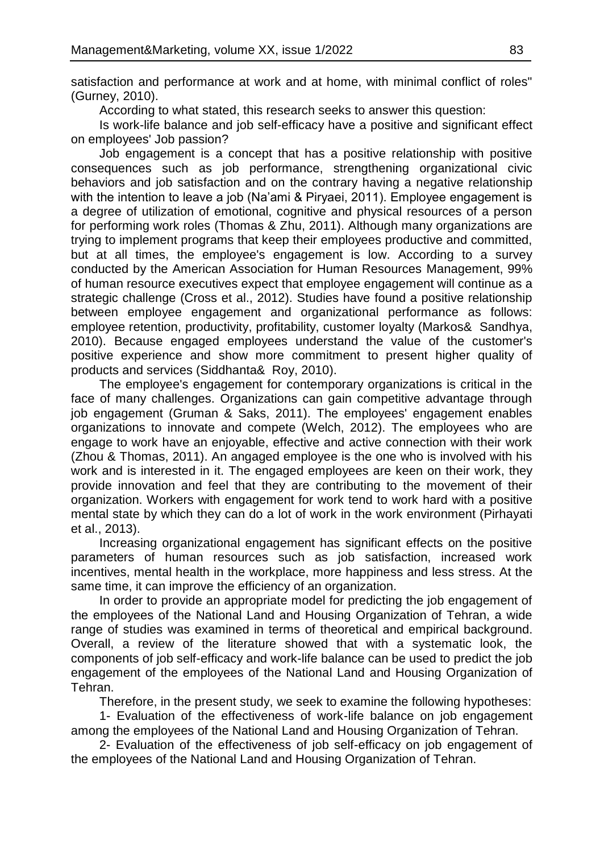satisfaction and performance at work and at home, with minimal conflict of roles" (Gurney, 2010).

According to what stated, this research seeks to answer this question:

Is work-life balance and job self-efficacy have a positive and significant effect on employees' Job passion?

Job engagement is a concept that has a positive relationship with positive consequences such as job performance, strengthening organizational civic behaviors and job satisfaction and on the contrary having a negative relationship with the intention to leave a job (Na'ami & Piryaei, 2011). Employee engagement is a degree of utilization of emotional, cognitive and physical resources of a person for performing work roles (Thomas & Zhu, 2011). Although many organizations are trying to implement programs that keep their employees productive and committed, but at all times, the employee's engagement is low. According to a survey conducted by the American Association for Human Resources Management, 99% of human resource executives expect that employee engagement will continue as a strategic challenge (Cross et al., 2012). Studies have found a positive relationship between employee engagement and organizational performance as follows: employee retention, productivity, profitability, customer loyalty (Markos& Sandhya, 2010). Because engaged employees understand the value of the customer's positive experience and show more commitment to present higher quality of products and services (Siddhanta& Roy, 2010).

The employee's engagement for contemporary organizations is critical in the face of many challenges. Organizations can gain competitive advantage through job engagement (Gruman & Saks, 2011). The employees' engagement enables organizations to innovate and compete (Welch, 2012). The employees who are engage to work have an enjoyable, effective and active connection with their work (Zhou & Thomas, 2011). An angaged employee is the one who is involved with his work and is interested in it. The engaged employees are keen on their work, they provide innovation and feel that they are contributing to the movement of their organization. Workers with engagement for work tend to work hard with a positive mental state by which they can do a lot of work in the work environment (Pirhayati et al., 2013).

Increasing organizational engagement has significant effects on the positive parameters of human resources such as job satisfaction, increased work incentives, mental health in the workplace, more happiness and less stress. At the same time, it can improve the efficiency of an organization.

In order to provide an appropriate model for predicting the job engagement of the employees of the National Land and Housing Organization of Tehran, a wide range of studies was examined in terms of theoretical and empirical background. Overall, a review of the literature showed that with a systematic look, the components of job self-efficacy and work-life balance can be used to predict the job engagement of the employees of the National Land and Housing Organization of Tehran.

Therefore, in the present study, we seek to examine the following hypotheses:

1- Evaluation of the effectiveness of work-life balance on job engagement among the employees of the National Land and Housing Organization of Tehran.

2- Evaluation of the effectiveness of job self-efficacy on job engagement of the employees of the National Land and Housing Organization of Tehran.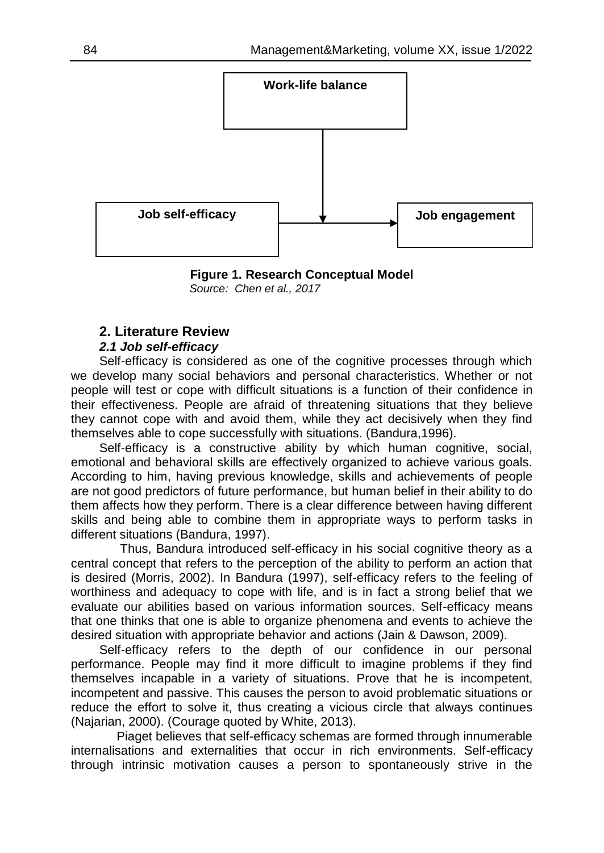

**Figure 1. Research Conceptual Model**  *Source: Chen et al., 2017*

### **2. Literature Review**

### *2.1 Job self-efficacy*

Self-efficacy is considered as one of the cognitive processes through which we develop many social behaviors and personal characteristics. Whether or not people will test or cope with difficult situations is a function of their confidence in their effectiveness. People are afraid of threatening situations that they believe they cannot cope with and avoid them, while they act decisively when they find themselves able to cope successfully with situations. (Bandura,1996).

Self-efficacy is a constructive ability by which human cognitive, social, emotional and behavioral skills are effectively organized to achieve various goals. According to him, having previous knowledge, skills and achievements of people are not good predictors of future performance, but human belief in their ability to do them affects how they perform. There is a clear difference between having different skills and being able to combine them in appropriate ways to perform tasks in different situations (Bandura, 1997).

 Thus, Bandura introduced self-efficacy in his social cognitive theory as a central concept that refers to the perception of the ability to perform an action that is desired (Morris, 2002). In Bandura (1997), self-efficacy refers to the feeling of worthiness and adequacy to cope with life, and is in fact a strong belief that we evaluate our abilities based on various information sources. Self-efficacy means that one thinks that one is able to organize phenomena and events to achieve the desired situation with appropriate behavior and actions (Jain & Dawson, 2009).

Self-efficacy refers to the depth of our confidence in our personal performance. People may find it more difficult to imagine problems if they find themselves incapable in a variety of situations. Prove that he is incompetent, incompetent and passive. This causes the person to avoid problematic situations or reduce the effort to solve it, thus creating a vicious circle that always continues (Najarian, 2000). (Courage quoted by White, 2013).

 Piaget believes that self-efficacy schemas are formed through innumerable internalisations and externalities that occur in rich environments. Self-efficacy through intrinsic motivation causes a person to spontaneously strive in the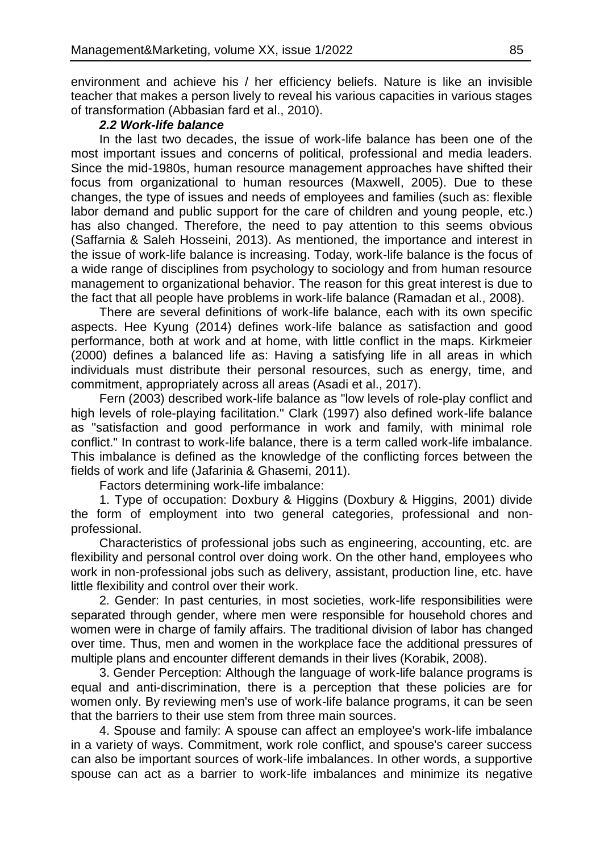environment and achieve his / her efficiency beliefs. Nature is like an invisible teacher that makes a person lively to reveal his various capacities in various stages of transformation (Abbasian fard et al., 2010).

#### *2.2 Work-life balance*

In the last two decades, the issue of work-life balance has been one of the most important issues and concerns of political, professional and media leaders. Since the mid-1980s, human resource management approaches have shifted their focus from organizational to human resources (Maxwell, 2005). Due to these changes, the type of issues and needs of employees and families (such as: flexible labor demand and public support for the care of children and young people, etc.) has also changed. Therefore, the need to pay attention to this seems obvious (Saffarnia & Saleh Hosseini, 2013). As mentioned, the importance and interest in the issue of work-life balance is increasing. Today, work-life balance is the focus of a wide range of disciplines from psychology to sociology and from human resource management to organizational behavior. The reason for this great interest is due to the fact that all people have problems in work-life balance (Ramadan et al., 2008).

There are several definitions of work-life balance, each with its own specific aspects. Hee Kyung (2014) defines work-life balance as satisfaction and good performance, both at work and at home, with little conflict in the maps. Kirkmeier (2000) defines a balanced life as: Having a satisfying life in all areas in which individuals must distribute their personal resources, such as energy, time, and commitment, appropriately across all areas (Asadi et al., 2017).

Fern (2003) described work-life balance as "low levels of role-play conflict and high levels of role-playing facilitation." Clark (1997) also defined work-life balance as "satisfaction and good performance in work and family, with minimal role conflict." In contrast to work-life balance, there is a term called work-life imbalance. This imbalance is defined as the knowledge of the conflicting forces between the fields of work and life (Jafarinia & Ghasemi, 2011).

Factors determining work-life imbalance:

1. Type of occupation: Doxbury & Higgins (Doxbury & Higgins, 2001) divide the form of employment into two general categories, professional and nonprofessional.

Characteristics of professional jobs such as engineering, accounting, etc. are flexibility and personal control over doing work. On the other hand, employees who work in non-professional jobs such as delivery, assistant, production line, etc. have little flexibility and control over their work.

2. Gender: In past centuries, in most societies, work-life responsibilities were separated through gender, where men were responsible for household chores and women were in charge of family affairs. The traditional division of labor has changed over time. Thus, men and women in the workplace face the additional pressures of multiple plans and encounter different demands in their lives (Korabik, 2008).

3. Gender Perception: Although the language of work-life balance programs is equal and anti-discrimination, there is a perception that these policies are for women only. By reviewing men's use of work-life balance programs, it can be seen that the barriers to their use stem from three main sources.

4. Spouse and family: A spouse can affect an employee's work-life imbalance in a variety of ways. Commitment, work role conflict, and spouse's career success can also be important sources of work-life imbalances. In other words, a supportive spouse can act as a barrier to work-life imbalances and minimize its negative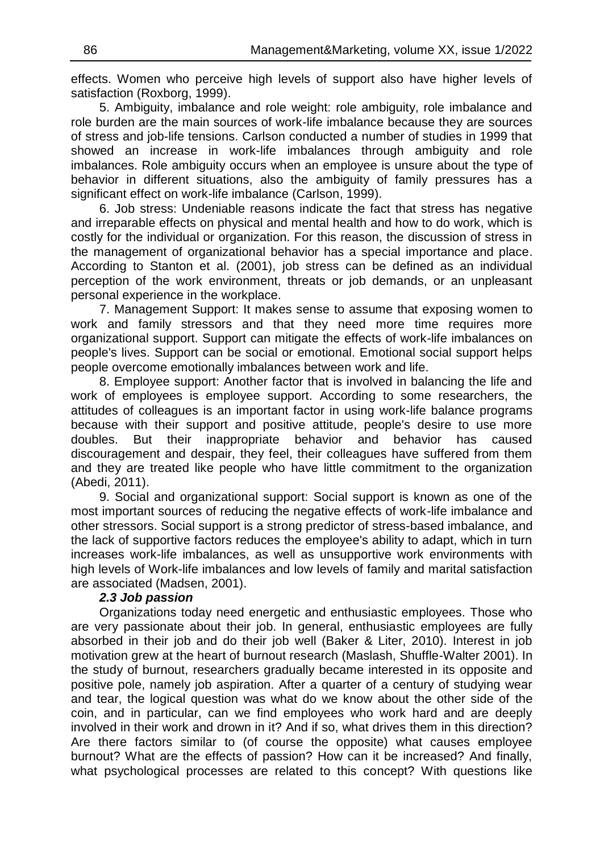effects. Women who perceive high levels of support also have higher levels of satisfaction (Roxborg, 1999).

5. Ambiguity, imbalance and role weight: role ambiguity, role imbalance and role burden are the main sources of work-life imbalance because they are sources of stress and job-life tensions. Carlson conducted a number of studies in 1999 that showed an increase in work-life imbalances through ambiguity and role imbalances. Role ambiguity occurs when an employee is unsure about the type of behavior in different situations, also the ambiguity of family pressures has a significant effect on work-life imbalance (Carlson, 1999).

6. Job stress: Undeniable reasons indicate the fact that stress has negative and irreparable effects on physical and mental health and how to do work, which is costly for the individual or organization. For this reason, the discussion of stress in the management of organizational behavior has a special importance and place. According to Stanton et al. (2001), job stress can be defined as an individual perception of the work environment, threats or job demands, or an unpleasant personal experience in the workplace.

7. Management Support: It makes sense to assume that exposing women to work and family stressors and that they need more time requires more organizational support. Support can mitigate the effects of work-life imbalances on people's lives. Support can be social or emotional. Emotional social support helps people overcome emotionally imbalances between work and life.

8. Employee support: Another factor that is involved in balancing the life and work of employees is employee support. According to some researchers, the attitudes of colleagues is an important factor in using work-life balance programs because with their support and positive attitude, people's desire to use more doubles. But their inappropriate behavior and behavior has caused discouragement and despair, they feel, their colleagues have suffered from them and they are treated like people who have little commitment to the organization (Abedi, 2011).

9. Social and organizational support: Social support is known as one of the most important sources of reducing the negative effects of work-life imbalance and other stressors. Social support is a strong predictor of stress-based imbalance, and the lack of supportive factors reduces the employee's ability to adapt, which in turn increases work-life imbalances, as well as unsupportive work environments with high levels of Work-life imbalances and low levels of family and marital satisfaction are associated (Madsen, 2001).

#### *2.3 Job passion*

Organizations today need energetic and enthusiastic employees. Those who are very passionate about their job. In general, enthusiastic employees are fully absorbed in their job and do their job well (Baker & Liter, 2010). Interest in job motivation grew at the heart of burnout research (Maslash, Shuffle-Walter 2001). In the study of burnout, researchers gradually became interested in its opposite and positive pole, namely job aspiration. After a quarter of a century of studying wear and tear, the logical question was what do we know about the other side of the coin, and in particular, can we find employees who work hard and are deeply involved in their work and drown in it? And if so, what drives them in this direction? Are there factors similar to (of course the opposite) what causes employee burnout? What are the effects of passion? How can it be increased? And finally, what psychological processes are related to this concept? With questions like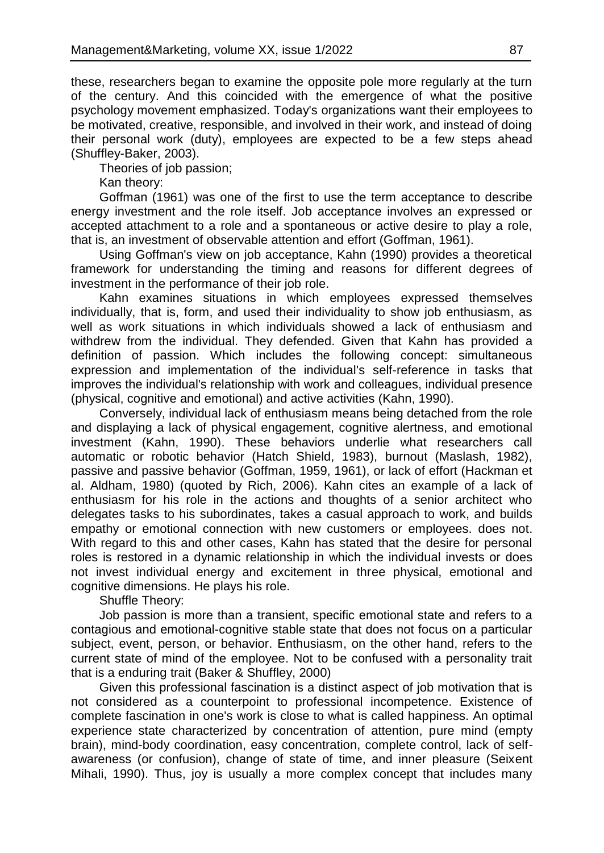these, researchers began to examine the opposite pole more regularly at the turn of the century. And this coincided with the emergence of what the positive psychology movement emphasized. Today's organizations want their employees to be motivated, creative, responsible, and involved in their work, and instead of doing their personal work (duty), employees are expected to be a few steps ahead (Shuffley-Baker, 2003).

Theories of job passion;

Kan theory:

Goffman (1961) was one of the first to use the term acceptance to describe energy investment and the role itself. Job acceptance involves an expressed or accepted attachment to a role and a spontaneous or active desire to play a role, that is, an investment of observable attention and effort (Goffman, 1961).

Using Goffman's view on job acceptance, Kahn (1990) provides a theoretical framework for understanding the timing and reasons for different degrees of investment in the performance of their job role.

Kahn examines situations in which employees expressed themselves individually, that is, form, and used their individuality to show job enthusiasm, as well as work situations in which individuals showed a lack of enthusiasm and withdrew from the individual. They defended. Given that Kahn has provided a definition of passion. Which includes the following concept: simultaneous expression and implementation of the individual's self-reference in tasks that improves the individual's relationship with work and colleagues, individual presence (physical, cognitive and emotional) and active activities (Kahn, 1990).

Conversely, individual lack of enthusiasm means being detached from the role and displaying a lack of physical engagement, cognitive alertness, and emotional investment (Kahn, 1990). These behaviors underlie what researchers call automatic or robotic behavior (Hatch Shield, 1983), burnout (Maslash, 1982), passive and passive behavior (Goffman, 1959, 1961), or lack of effort (Hackman et al. Aldham, 1980) (quoted by Rich, 2006). Kahn cites an example of a lack of enthusiasm for his role in the actions and thoughts of a senior architect who delegates tasks to his subordinates, takes a casual approach to work, and builds empathy or emotional connection with new customers or employees. does not. With regard to this and other cases, Kahn has stated that the desire for personal roles is restored in a dynamic relationship in which the individual invests or does not invest individual energy and excitement in three physical, emotional and cognitive dimensions. He plays his role.

Shuffle Theory:

Job passion is more than a transient, specific emotional state and refers to a contagious and emotional-cognitive stable state that does not focus on a particular subject, event, person, or behavior. Enthusiasm, on the other hand, refers to the current state of mind of the employee. Not to be confused with a personality trait that is a enduring trait (Baker & Shuffley, 2000)

Given this professional fascination is a distinct aspect of job motivation that is not considered as a counterpoint to professional incompetence. Existence of complete fascination in one's work is close to what is called happiness. An optimal experience state characterized by concentration of attention, pure mind (empty brain), mind-body coordination, easy concentration, complete control, lack of selfawareness (or confusion), change of state of time, and inner pleasure (Seixent Mihali, 1990). Thus, joy is usually a more complex concept that includes many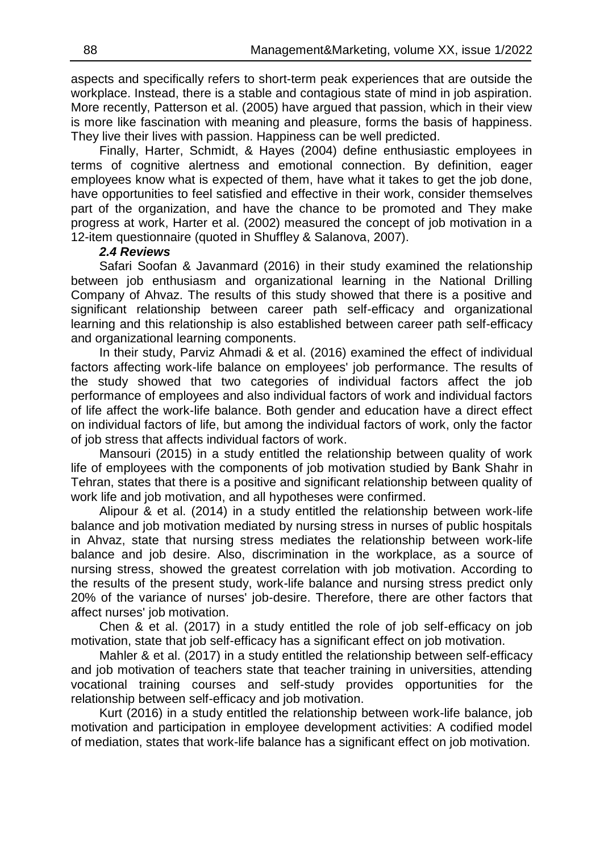aspects and specifically refers to short-term peak experiences that are outside the workplace. Instead, there is a stable and contagious state of mind in job aspiration. More recently, Patterson et al. (2005) have argued that passion, which in their view is more like fascination with meaning and pleasure, forms the basis of happiness. They live their lives with passion. Happiness can be well predicted.

Finally, Harter, Schmidt, & Hayes (2004) define enthusiastic employees in terms of cognitive alertness and emotional connection. By definition, eager employees know what is expected of them, have what it takes to get the job done, have opportunities to feel satisfied and effective in their work, consider themselves part of the organization, and have the chance to be promoted and They make progress at work, Harter et al. (2002) measured the concept of job motivation in a 12-item questionnaire (quoted in Shuffley & Salanova, 2007).

#### *2.4 Reviews*

Safari Soofan & Javanmard (2016) in their study examined the relationship between job enthusiasm and organizational learning in the National Drilling Company of Ahvaz. The results of this study showed that there is a positive and significant relationship between career path self-efficacy and organizational learning and this relationship is also established between career path self-efficacy and organizational learning components.

In their study, Parviz Ahmadi & et al. (2016) examined the effect of individual factors affecting work-life balance on employees' job performance. The results of the study showed that two categories of individual factors affect the job performance of employees and also individual factors of work and individual factors of life affect the work-life balance. Both gender and education have a direct effect on individual factors of life, but among the individual factors of work, only the factor of job stress that affects individual factors of work.

Mansouri (2015) in a study entitled the relationship between quality of work life of employees with the components of job motivation studied by Bank Shahr in Tehran, states that there is a positive and significant relationship between quality of work life and job motivation, and all hypotheses were confirmed.

Alipour & et al. (2014) in a study entitled the relationship between work-life balance and job motivation mediated by nursing stress in nurses of public hospitals in Ahvaz, state that nursing stress mediates the relationship between work-life balance and job desire. Also, discrimination in the workplace, as a source of nursing stress, showed the greatest correlation with job motivation. According to the results of the present study, work-life balance and nursing stress predict only 20% of the variance of nurses' job-desire. Therefore, there are other factors that affect nurses' job motivation.

Chen & et al. (2017) in a study entitled the role of job self-efficacy on job motivation, state that job self-efficacy has a significant effect on job motivation.

Mahler & et al. (2017) in a study entitled the relationship between self-efficacy and job motivation of teachers state that teacher training in universities, attending vocational training courses and self-study provides opportunities for the relationship between self-efficacy and job motivation.

Kurt (2016) in a study entitled the relationship between work-life balance, job motivation and participation in employee development activities: A codified model of mediation, states that work-life balance has a significant effect on job motivation.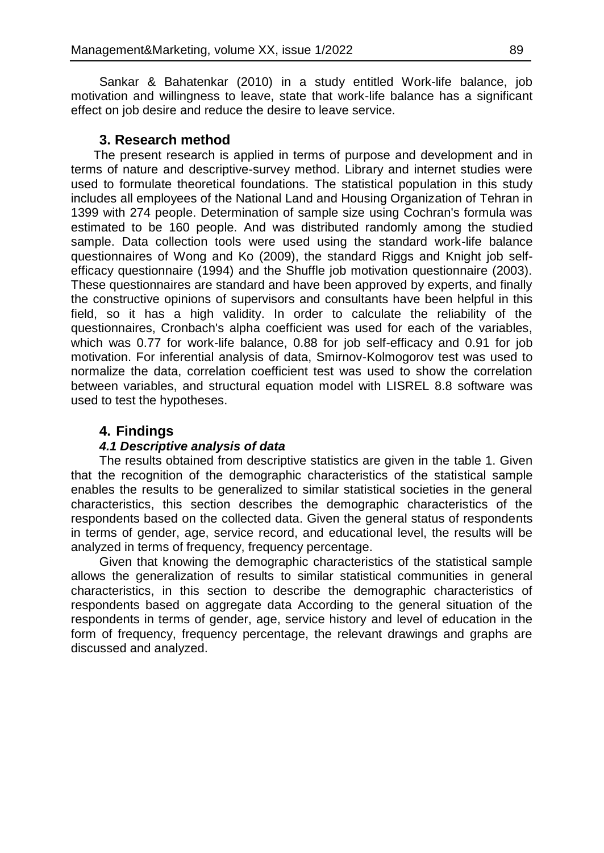Sankar & Bahatenkar (2010) in a study entitled Work-life balance, job motivation and willingness to leave, state that work-life balance has a significant effect on job desire and reduce the desire to leave service.

# **3. Research method**

The present research is applied in terms of purpose and development and in terms of nature and descriptive-survey method. Library and internet studies were used to formulate theoretical foundations. The statistical population in this study includes all employees of the National Land and Housing Organization of Tehran in 1399 with 274 people. Determination of sample size using Cochran's formula was estimated to be 160 people. And was distributed randomly among the studied sample. Data collection tools were used using the standard work-life balance questionnaires of Wong and Ko (2009), the standard Riggs and Knight job selfefficacy questionnaire (1994) and the Shuffle job motivation questionnaire (2003). These questionnaires are standard and have been approved by experts, and finally the constructive opinions of supervisors and consultants have been helpful in this field, so it has a high validity. In order to calculate the reliability of the questionnaires, Cronbach's alpha coefficient was used for each of the variables, which was 0.77 for work-life balance, 0.88 for job self-efficacy and 0.91 for job motivation. For inferential analysis of data, Smirnov-Kolmogorov test was used to normalize the data, correlation coefficient test was used to show the correlation between variables, and structural equation model with LISREL 8.8 software was used to test the hypotheses.

# **4. Findings**

# *4.1 Descriptive analysis of data*

The results obtained from descriptive statistics are given in the table 1. Given that the recognition of the demographic characteristics of the statistical sample enables the results to be generalized to similar statistical societies in the general characteristics, this section describes the demographic characteristics of the respondents based on the collected data. Given the general status of respondents in terms of gender, age, service record, and educational level, the results will be analyzed in terms of frequency, frequency percentage.

Given that knowing the demographic characteristics of the statistical sample allows the generalization of results to similar statistical communities in general characteristics, in this section to describe the demographic characteristics of respondents based on aggregate data According to the general situation of the respondents in terms of gender, age, service history and level of education in the form of frequency, frequency percentage, the relevant drawings and graphs are discussed and analyzed.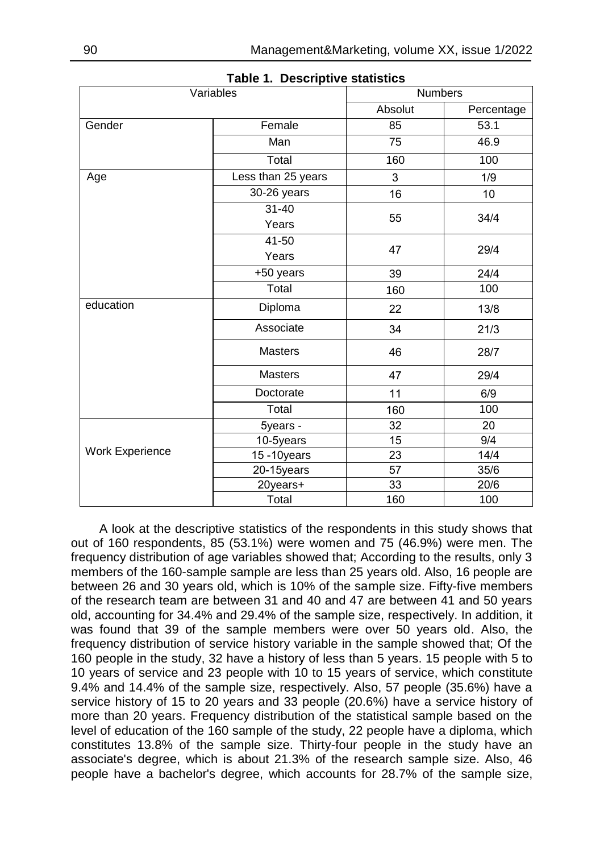| Variables       |                    | <b>Numbers</b> |            |  |
|-----------------|--------------------|----------------|------------|--|
|                 |                    | Absolut        | Percentage |  |
| Gender          | Female             | 85             | 53.1       |  |
|                 | Man                | 75             | 46.9       |  |
|                 | Total              | 160            | 100        |  |
| Age             | Less than 25 years | 3              | 1/9        |  |
|                 | 30-26 years        | 16             | 10         |  |
|                 | $31 - 40$          | 55             |            |  |
|                 | Years              |                | 34/4       |  |
|                 | 41-50              |                |            |  |
|                 | Years              | 47             | 29/4       |  |
|                 | +50 years          | 39             | 24/4       |  |
|                 | Total              | 160            | 100        |  |
| education       | Diploma            | 22             | 13/8       |  |
|                 | Associate          | 34             | 21/3       |  |
|                 | <b>Masters</b>     | 46             | 28/7       |  |
|                 | <b>Masters</b>     | 47             | 29/4       |  |
|                 | Doctorate          | 11             | 6/9        |  |
|                 | Total              | 160            | 100        |  |
|                 | 5years -           | 32             | 20         |  |
|                 | 10-5years          | 15             | 9/4        |  |
| Work Experience | 15-10years         | 23             | 14/4       |  |
|                 | 20-15years         | 57             | 35/6       |  |
|                 | 20years+           | 33             | 20/6       |  |
|                 | Total              | 160            | 100        |  |

**Table 1. Descriptive statistics**

A look at the descriptive statistics of the respondents in this study shows that out of 160 respondents, 85 (53.1%) were women and 75 (46.9%) were men. The frequency distribution of age variables showed that; According to the results, only 3 members of the 160-sample sample are less than 25 years old. Also, 16 people are between 26 and 30 years old, which is 10% of the sample size. Fifty-five members of the research team are between 31 and 40 and 47 are between 41 and 50 years old, accounting for 34.4% and 29.4% of the sample size, respectively. In addition, it was found that 39 of the sample members were over 50 years old. Also, the frequency distribution of service history variable in the sample showed that; Of the 160 people in the study, 32 have a history of less than 5 years. 15 people with 5 to 10 years of service and 23 people with 10 to 15 years of service, which constitute 9.4% and 14.4% of the sample size, respectively. Also, 57 people (35.6%) have a service history of 15 to 20 years and 33 people (20.6%) have a service history of more than 20 years. Frequency distribution of the statistical sample based on the level of education of the 160 sample of the study, 22 people have a diploma, which constitutes 13.8% of the sample size. Thirty-four people in the study have an associate's degree, which is about 21.3% of the research sample size. Also, 46 people have a bachelor's degree, which accounts for 28.7% of the sample size,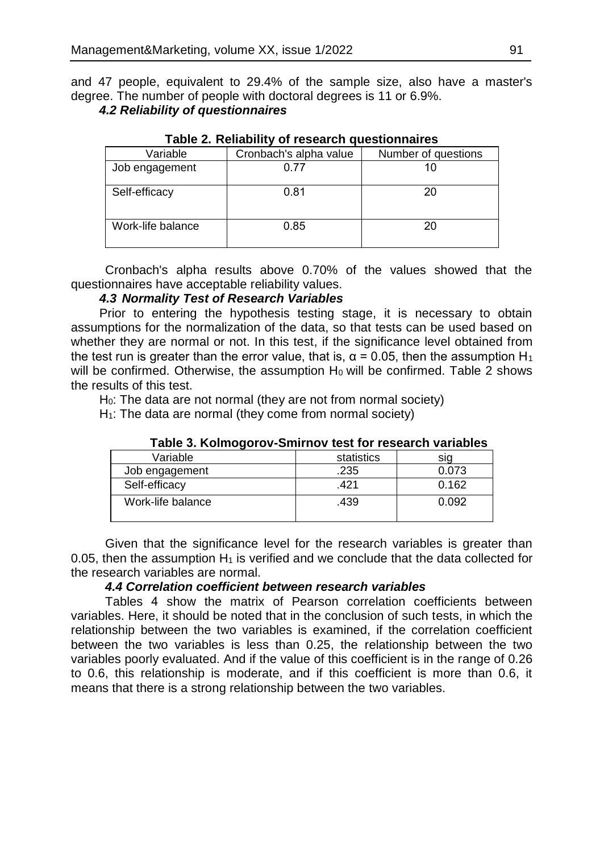and 47 people, equivalent to 29.4% of the sample size, also have a master's degree. The number of people with doctoral degrees is 11 or 6.9%.

# *4.2 Reliability of questionnaires*

| Variable          | Cronbach's alpha value | Number of questions |
|-------------------|------------------------|---------------------|
| Job engagement    | 0.77                   | 10                  |
| Self-efficacy     | 0.81                   | 20                  |
| Work-life balance | 0.85                   | 20                  |

### **Table 2. Reliability of research questionnaires**

Cronbach's alpha results above 0.70% of the values showed that the questionnaires have acceptable reliability values.

### *4.3 Normality Test of Research Variables*

Prior to entering the hypothesis testing stage, it is necessary to obtain assumptions for the normalization of the data, so that tests can be used based on whether they are normal or not. In this test, if the significance level obtained from the test run is greater than the error value, that is,  $\alpha$  = 0.05, then the assumption H<sub>1</sub> will be confirmed. Otherwise, the assumption H<sub>0</sub> will be confirmed. Table 2 shows the results of this test.

 $H<sub>0</sub>$ : The data are not normal (they are not from normal society)

 $H<sub>1</sub>$ : The data are normal (they come from normal society)

| Variable          | statistics |       |
|-------------------|------------|-------|
| Job engagement    | .235       | 0.073 |
| Self-efficacy     | .421       | 0.162 |
| Work-life balance | .439       | 0.092 |

### **Table 3. Kolmogorov-Smirnov test for research variables**

Given that the significance level for the research variables is greater than 0.05, then the assumption  $H_1$  is verified and we conclude that the data collected for the research variables are normal.

### *4.4 Correlation coefficient between research variables*

Tables 4 show the matrix of Pearson correlation coefficients between variables. Here, it should be noted that in the conclusion of such tests, in which the relationship between the two variables is examined, if the correlation coefficient between the two variables is less than 0.25, the relationship between the two variables poorly evaluated. And if the value of this coefficient is in the range of 0.26 to 0.6, this relationship is moderate, and if this coefficient is more than 0.6, it means that there is a strong relationship between the two variables.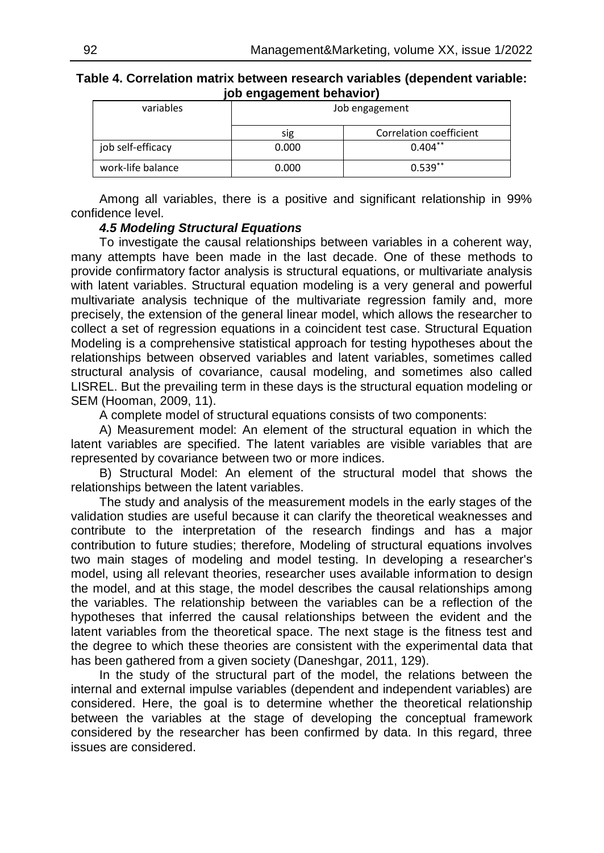| Table 4. Correlation matrix between research variables (dependent variable: |  |
|-----------------------------------------------------------------------------|--|
| job engagement behavior)                                                    |  |

| - - - - -         |                |                         |  |  |
|-------------------|----------------|-------------------------|--|--|
| variables         | Job engagement |                         |  |  |
|                   | sig            | Correlation coefficient |  |  |
| job self-efficacy | 0.000          | $0.404**$               |  |  |
| work-life balance | 0.000          | $0.539**$               |  |  |

Among all variables, there is a positive and significant relationship in 99% confidence level.

#### *4.5 Modeling Structural Equations*

To investigate the causal relationships between variables in a coherent way, many attempts have been made in the last decade. One of these methods to provide confirmatory factor analysis is structural equations, or multivariate analysis with latent variables. Structural equation modeling is a very general and powerful multivariate analysis technique of the multivariate regression family and, more precisely, the extension of the general linear model, which allows the researcher to collect a set of regression equations in a coincident test case. Structural Equation Modeling is a comprehensive statistical approach for testing hypotheses about the relationships between observed variables and latent variables, sometimes called structural analysis of covariance, causal modeling, and sometimes also called LISREL. But the prevailing term in these days is the structural equation modeling or SEM (Hooman, 2009, 11).

A complete model of structural equations consists of two components:

A) Measurement model: An element of the structural equation in which the latent variables are specified. The latent variables are visible variables that are represented by covariance between two or more indices.

B) Structural Model: An element of the structural model that shows the relationships between the latent variables.

The study and analysis of the measurement models in the early stages of the validation studies are useful because it can clarify the theoretical weaknesses and contribute to the interpretation of the research findings and has a major contribution to future studies; therefore, Modeling of structural equations involves two main stages of modeling and model testing. In developing a researcher's model, using all relevant theories, researcher uses available information to design the model, and at this stage, the model describes the causal relationships among the variables. The relationship between the variables can be a reflection of the hypotheses that inferred the causal relationships between the evident and the latent variables from the theoretical space. The next stage is the fitness test and the degree to which these theories are consistent with the experimental data that has been gathered from a given society (Daneshgar, 2011, 129).

In the study of the structural part of the model, the relations between the internal and external impulse variables (dependent and independent variables) are considered. Here, the goal is to determine whether the theoretical relationship between the variables at the stage of developing the conceptual framework considered by the researcher has been confirmed by data. In this regard, three issues are considered.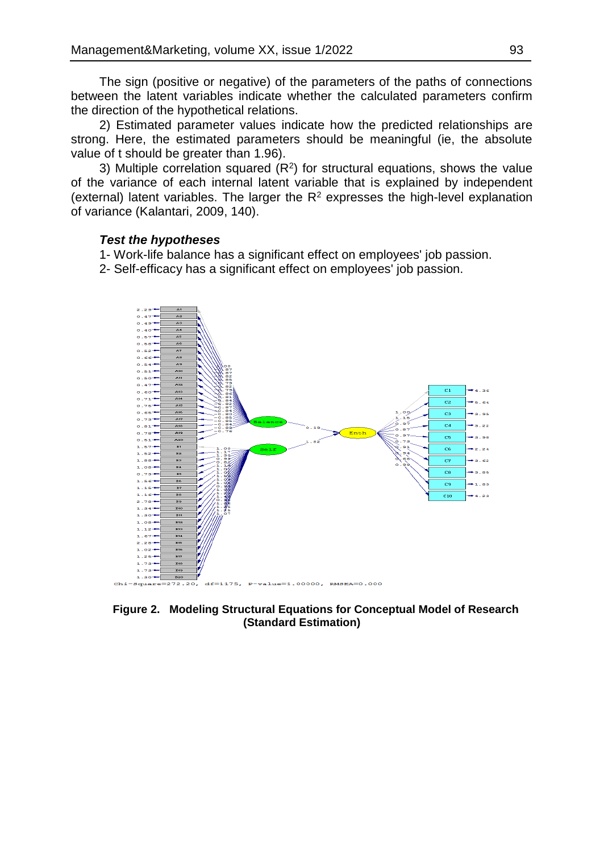The sign (positive or negative) of the parameters of the paths of connections between the latent variables indicate whether the calculated parameters confirm the direction of the hypothetical relations.

2) Estimated parameter values indicate how the predicted relationships are strong. Here, the estimated parameters should be meaningful (ie, the absolute value of t should be greater than 1.96).

3) Multiple correlation squared  $(R^2)$  for structural equations, shows the value of the variance of each internal latent variable that is explained by independent (external) latent variables. The larger the  $R<sup>2</sup>$  expresses the high-level explanation of variance (Kalantari, 2009, 140).

#### *Test the hypotheses*

1- Work-life balance has a significant effect on employees' job passion.

2- Self-efficacy has a significant effect on employees' job passion.



**Figure 2. Modeling Structural Equations for Conceptual Model of Research (Standard Estimation)**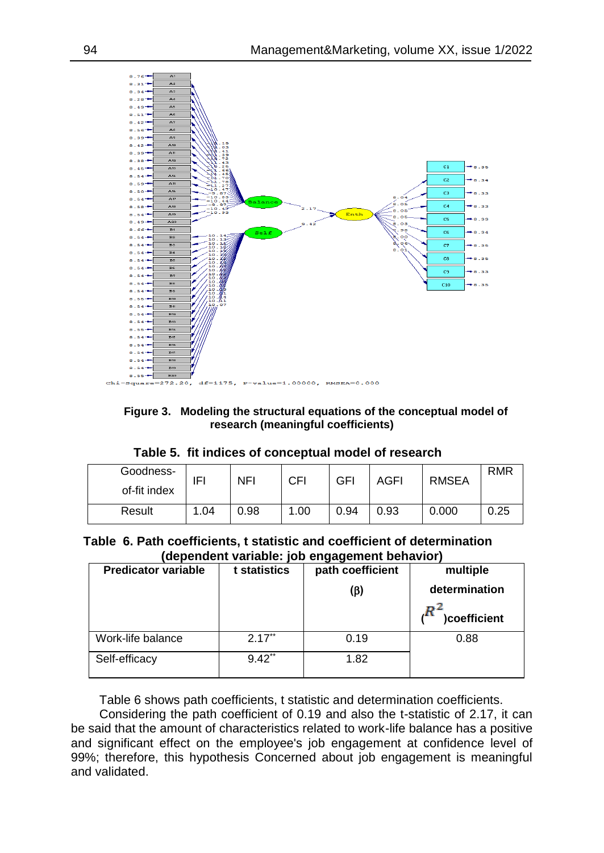

**Figure 3. Modeling the structural equations of the conceptual model of research (meaningful coefficients)**

| Table 5. fit indices of conceptual model of research |  |  |
|------------------------------------------------------|--|--|
|                                                      |  |  |

| Goodness-<br>of-fit index | IFI  | NFI  | CFI | GFI  | AGFI | <b>RMSEA</b> | <b>RMR</b> |
|---------------------------|------|------|-----|------|------|--------------|------------|
| Result                    | 1.04 | 0.98 | .00 | 0.94 | 0.93 | 0.000        | 0.25       |

### **Table 6. Path coefficients, t statistic and coefficient of determination (dependent variable: job engagement behavior)**

| <b>Predicator variable</b> | t statistics         | .<br>path coefficient<br>(β) | multiple<br>determination<br>)coefficient |
|----------------------------|----------------------|------------------------------|-------------------------------------------|
| Work-life balance          | $2.17**$             | 0.19                         | 0.88                                      |
| Self-efficacy              | $9.42$ <sup>**</sup> | 1.82                         |                                           |

Table 6 shows path coefficients, t statistic and determination coefficients.

Considering the path coefficient of 0.19 and also the t-statistic of 2.17, it can be said that the amount of characteristics related to work-life balance has a positive and significant effect on the employee's job engagement at confidence level of 99%; therefore, this hypothesis Concerned about job engagement is meaningful and validated.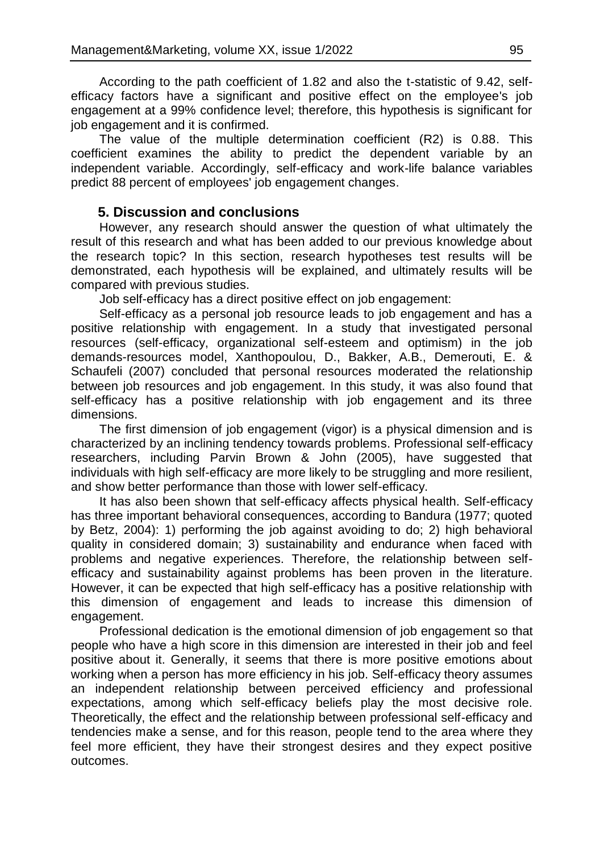According to the path coefficient of 1.82 and also the t-statistic of 9.42, selfefficacy factors have a significant and positive effect on the employee's job engagement at a 99% confidence level; therefore, this hypothesis is significant for job engagement and it is confirmed.

The value of the multiple determination coefficient (R2) is 0.88. This coefficient examines the ability to predict the dependent variable by an independent variable. Accordingly, self-efficacy and work-life balance variables predict 88 percent of employees' job engagement changes.

### **5. Discussion and conclusions**

However, any research should answer the question of what ultimately the result of this research and what has been added to our previous knowledge about the research topic? In this section, research hypotheses test results will be demonstrated, each hypothesis will be explained, and ultimately results will be compared with previous studies.

Job self-efficacy has a direct positive effect on job engagement:

Self-efficacy as a personal job resource leads to job engagement and has a positive relationship with engagement. In a study that investigated personal resources (self-efficacy, organizational self-esteem and optimism) in the job demands-resources model, Xanthopoulou, D., Bakker, A.B., Demerouti, E. & Schaufeli (2007) concluded that personal resources moderated the relationship between job resources and job engagement. In this study, it was also found that self-efficacy has a positive relationship with job engagement and its three dimensions.

The first dimension of job engagement (vigor) is a physical dimension and is characterized by an inclining tendency towards problems. Professional self-efficacy researchers, including Parvin Brown & John (2005), have suggested that individuals with high self-efficacy are more likely to be struggling and more resilient, and show better performance than those with lower self-efficacy.

It has also been shown that self-efficacy affects physical health. Self-efficacy has three important behavioral consequences, according to Bandura (1977; quoted by Betz, 2004): 1) performing the job against avoiding to do; 2) high behavioral quality in considered domain; 3) sustainability and endurance when faced with problems and negative experiences. Therefore, the relationship between selfefficacy and sustainability against problems has been proven in the literature. However, it can be expected that high self-efficacy has a positive relationship with this dimension of engagement and leads to increase this dimension of engagement.

Professional dedication is the emotional dimension of job engagement so that people who have a high score in this dimension are interested in their job and feel positive about it. Generally, it seems that there is more positive emotions about working when a person has more efficiency in his job. Self-efficacy theory assumes an independent relationship between perceived efficiency and professional expectations, among which self-efficacy beliefs play the most decisive role. Theoretically, the effect and the relationship between professional self-efficacy and tendencies make a sense, and for this reason, people tend to the area where they feel more efficient, they have their strongest desires and they expect positive outcomes.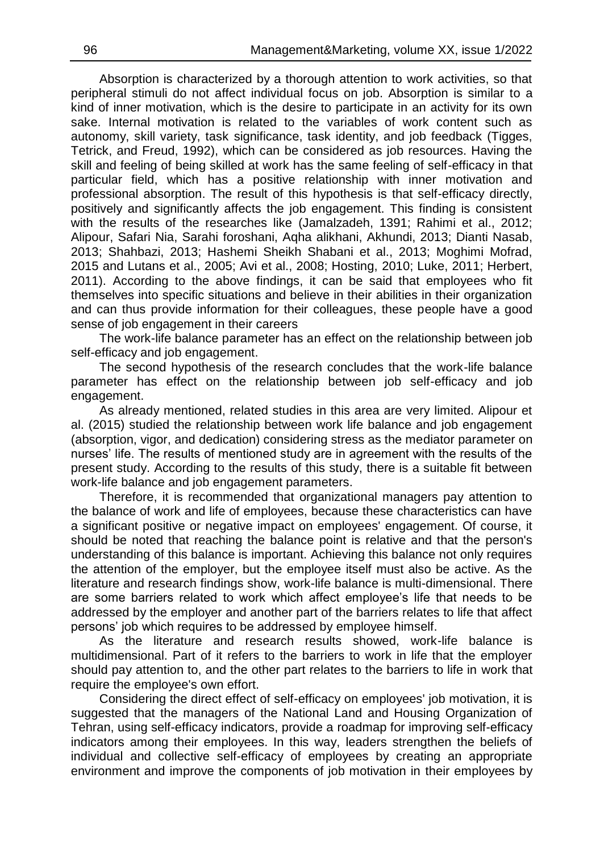Absorption is characterized by a thorough attention to work activities, so that peripheral stimuli do not affect individual focus on job. Absorption is similar to a kind of inner motivation, which is the desire to participate in an activity for its own sake. Internal motivation is related to the variables of work content such as autonomy, skill variety, task significance, task identity, and job feedback (Tigges, Tetrick, and Freud, 1992), which can be considered as job resources. Having the skill and feeling of being skilled at work has the same feeling of self-efficacy in that particular field, which has a positive relationship with inner motivation and professional absorption. The result of this hypothesis is that self-efficacy directly, positively and significantly affects the job engagement. This finding is consistent with the results of the researches like (Jamalzadeh, 1391; Rahimi et al., 2012; Alipour, Safari Nia, Sarahi foroshani, Aqha alikhani, Akhundi, 2013; Dianti Nasab, 2013; Shahbazi, 2013; Hashemi Sheikh Shabani et al., 2013; Moghimi Mofrad, 2015 and Lutans et al., 2005; Avi et al., 2008; Hosting, 2010; Luke, 2011; Herbert, 2011). According to the above findings, it can be said that employees who fit themselves into specific situations and believe in their abilities in their organization and can thus provide information for their colleagues, these people have a good sense of job engagement in their careers

The work-life balance parameter has an effect on the relationship between job self-efficacy and job engagement.

The second hypothesis of the research concludes that the work-life balance parameter has effect on the relationship between job self-efficacy and job engagement.

As already mentioned, related studies in this area are very limited. Alipour et al. (2015) studied the relationship between work life balance and job engagement (absorption, vigor, and dedication) considering stress as the mediator parameter on nurses' life. The results of mentioned study are in agreement with the results of the present study. According to the results of this study, there is a suitable fit between work-life balance and job engagement parameters.

Therefore, it is recommended that organizational managers pay attention to the balance of work and life of employees, because these characteristics can have a significant positive or negative impact on employees' engagement. Of course, it should be noted that reaching the balance point is relative and that the person's understanding of this balance is important. Achieving this balance not only requires the attention of the employer, but the employee itself must also be active. As the literature and research findings show, work-life balance is multi-dimensional. There are some barriers related to work which affect employee's life that needs to be addressed by the employer and another part of the barriers relates to life that affect persons' job which requires to be addressed by employee himself.

As the literature and research results showed, work-life balance is multidimensional. Part of it refers to the barriers to work in life that the employer should pay attention to, and the other part relates to the barriers to life in work that require the employee's own effort.

Considering the direct effect of self-efficacy on employees' job motivation, it is suggested that the managers of the National Land and Housing Organization of Tehran, using self-efficacy indicators, provide a roadmap for improving self-efficacy indicators among their employees. In this way, leaders strengthen the beliefs of individual and collective self-efficacy of employees by creating an appropriate environment and improve the components of job motivation in their employees by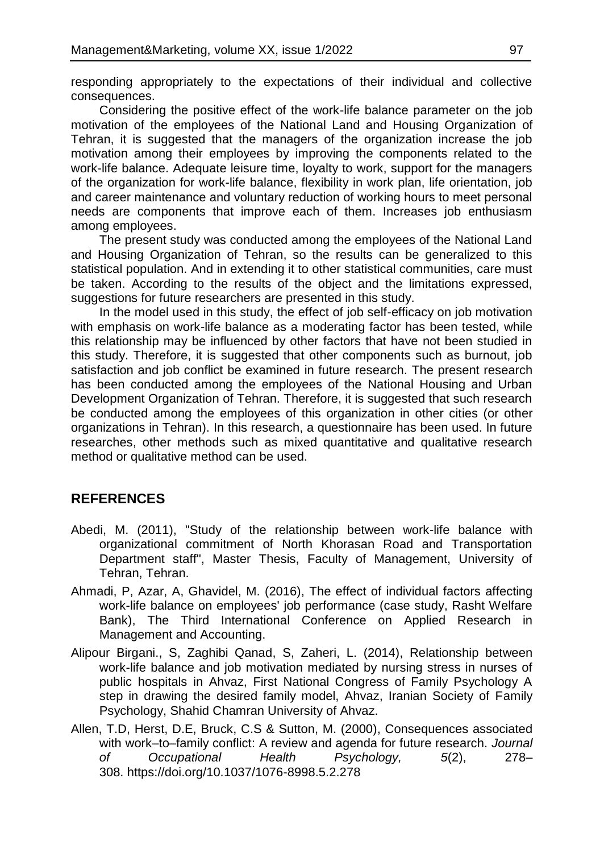responding appropriately to the expectations of their individual and collective consequences.

Considering the positive effect of the work-life balance parameter on the job motivation of the employees of the National Land and Housing Organization of Tehran, it is suggested that the managers of the organization increase the job motivation among their employees by improving the components related to the work-life balance. Adequate leisure time, loyalty to work, support for the managers of the organization for work-life balance, flexibility in work plan, life orientation, job and career maintenance and voluntary reduction of working hours to meet personal needs are components that improve each of them. Increases job enthusiasm among employees.

The present study was conducted among the employees of the National Land and Housing Organization of Tehran, so the results can be generalized to this statistical population. And in extending it to other statistical communities, care must be taken. According to the results of the object and the limitations expressed, suggestions for future researchers are presented in this study.

In the model used in this study, the effect of job self-efficacy on job motivation with emphasis on work-life balance as a moderating factor has been tested, while this relationship may be influenced by other factors that have not been studied in this study. Therefore, it is suggested that other components such as burnout, job satisfaction and job conflict be examined in future research. The present research has been conducted among the employees of the National Housing and Urban Development Organization of Tehran. Therefore, it is suggested that such research be conducted among the employees of this organization in other cities (or other organizations in Tehran). In this research, a questionnaire has been used. In future researches, other methods such as mixed quantitative and qualitative research method or qualitative method can be used.

# **REFERENCES**

- Abedi, M. (2011), "Study of the relationship between work-life balance with organizational commitment of North Khorasan Road and Transportation Department staff", Master Thesis, Faculty of Management, University of Tehran, Tehran.
- Ahmadi, P, Azar, A, Ghavidel, M. (2016), The effect of individual factors affecting work-life balance on employees' job performance (case study, Rasht Welfare Bank), The Third International Conference on Applied Research in Management and Accounting.
- Alipour Birgani., S, Zaghibi Qanad, S, Zaheri, L. (2014), Relationship between work-life balance and job motivation mediated by nursing stress in nurses of public hospitals in Ahvaz, First National Congress of Family Psychology A step in drawing the desired family model, Ahvaz, Iranian Society of Family Psychology, Shahid Chamran University of Ahvaz.
- Allen, T.D, Herst, D.E, Bruck, C.S & Sutton, M. (2000), Consequences associated with work–to–family conflict: A review and agenda for future research. *Journal of Occupational Health Psychology, 5*(2), 278– 308. [https://doi.org/10.1037/1076-8998.5.2.278](https://psycnet.apa.org/doi/10.1037/1076-8998.5.2.278)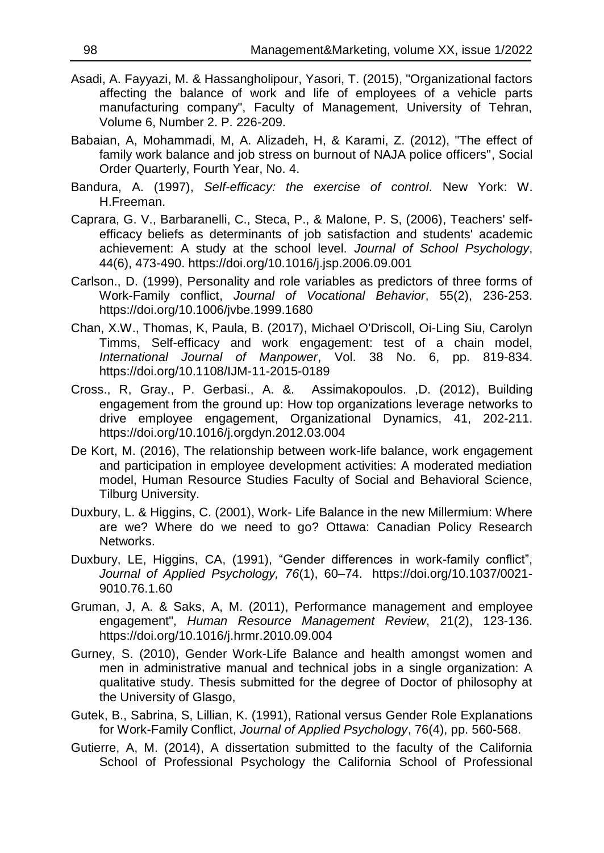- Asadi, A. Fayyazi, M. & Hassangholipour, Yasori, T. (2015), "Organizational factors affecting the balance of work and life of employees of a vehicle parts manufacturing company", Faculty of Management, University of Tehran, Volume 6, Number 2. P. 226-209.
- Babaian, A, Mohammadi, M, A. Alizadeh, H, & Karami, Z. (2012), "The effect of family work balance and job stress on burnout of NAJA police officers", Social Order Quarterly, Fourth Year, No. 4.
- Bandura, A. (1997), *Self-efficacy: the exercise of control*. New York: W. H.Freeman.
- Caprara, G. V., Barbaranelli, C., Steca, P., & Malone, P. S, (2006), Teachers' selfefficacy beliefs as determinants of job satisfaction and students' academic achievement: A study at the school level. *Journal of School Psychology*, 44(6), 473-490. <https://doi.org/10.1016/j.jsp.2006.09.001>
- Carlson., D. (1999), Personality and role variables as predictors of three forms of Work-Family conflict, *Journal of Vocational Behavior*, 55(2), 236-253. <https://doi.org/10.1006/jvbe.1999.1680>
- Chan, X.W., Thomas, K, Paula, B. (2017), Michael O'Driscoll, Oi-Ling Siu, Carolyn Timms, Self-efficacy and work engagement: test of a chain model, *International Journal of Manpower*, Vol. 38 No. 6, pp. 819-834. <https://doi.org/10.1108/IJM-11-2015-0189>
- Cross., R, Gray., P. Gerbasi., A. &. Assimakopoulos. ,D. (2012), Building engagement from the ground up: How top organizations leverage networks to drive employee engagement, Organizational Dynamics, 41, 202-211. <https://doi.org/10.1016/j.orgdyn.2012.03.004>
- De Kort, M. (2016), The relationship between work-life balance, work engagement and participation in employee development activities: A moderated mediation model, Human Resource Studies Faculty of Social and Behavioral Science, Tilburg University.
- Duxbury, L. & Higgins, C. (2001), Work- Life Balance in the new Millermium: Where are we? Where do we need to go? Ottawa: Canadian Policy Research Networks.
- Duxbury, LE, Higgins, CA, (1991), "Gender differences in work-family conflict", *Journal of Applied Psychology, 76*(1), 60–74. [https://doi.org/10.1037/0021-](https://doi.org/10.1037/0021-9010.76.1.60) [9010.76.1.60](https://doi.org/10.1037/0021-9010.76.1.60)
- Gruman, J, A. & Saks, A, M. (2011), Performance management and employee engagement", *Human Resource Management Review*, 21(2), 123-136. <https://doi.org/10.1016/j.hrmr.2010.09.004>
- Gurney, S. (2010), Gender Work-Life Balance and health amongst women and men in administrative manual and technical jobs in a single organization: A qualitative study. Thesis submitted for the degree of Doctor of philosophy at the University of Glasgo,
- Gutek, B., Sabrina, S, Lillian, K. (1991), Rational versus Gender Role Explanations for Work-Family Conflict, *Journal of Applied Psychology*, 76(4), pp. 560-568.
- Gutierre, A, M. (2014), A dissertation submitted to the faculty of the California School of Professional Psychology the California School of Professional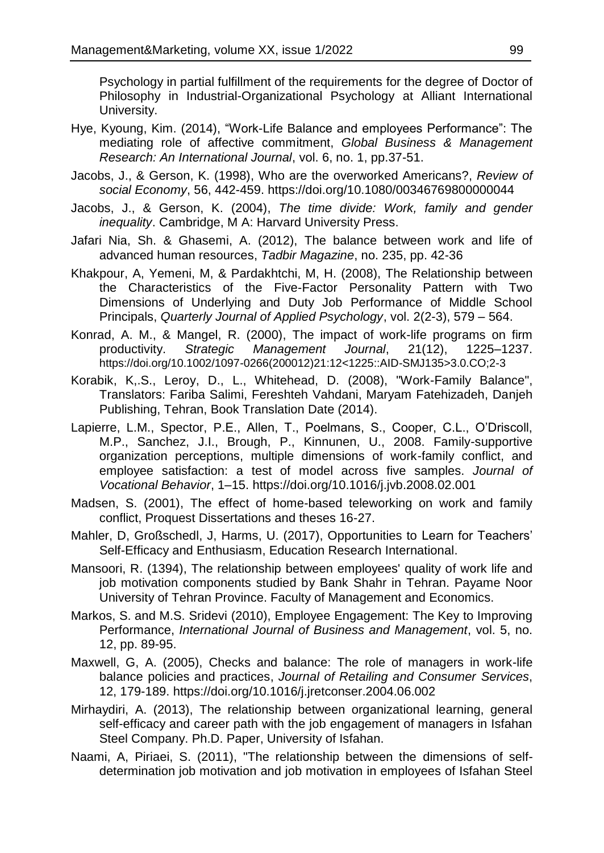Psychology in partial fulfillment of the requirements for the degree of Doctor of Philosophy in Industrial-Organizational Psychology at Alliant International University.

- Hye, Kyoung, Kim. (2014), "Work-Life Balance and employees Performance": The mediating role of affective commitment, *Global Business & Management Research: An International Journal*, vol. 6, no. 1, pp.37-51.
- Jacobs, J., & Gerson, K. (1998), Who are the overworked Americans?, *Review of social Economy*, 56, 442-459. <https://doi.org/10.1080/00346769800000044>
- Jacobs, J., & Gerson, K. (2004), *The time divide: Work, family and gender inequality*. Cambridge, M A: Harvard University Press.
- Jafari Nia, Sh. & Ghasemi, A. (2012), The balance between work and life of advanced human resources, *Tadbir Magazine*, no. 235, pp. 42-36
- Khakpour, A, Yemeni, M, & Pardakhtchi, M, H. (2008), The Relationship between the Characteristics of the Five-Factor Personality Pattern with Two Dimensions of Underlying and Duty Job Performance of Middle School Principals, *Quarterly Journal of Applied Psychology*, vol. 2(2-3), 579 – 564.
- Konrad, A. M., & Mangel, R. (2000), The impact of work-life programs on firm productivity. *Strategic Management Journal*, 21(12), 1225–1237. [https://doi.org/10.1002/1097-0266\(200012\)21:12<1225::AID-SMJ135>3.0.CO;2-3](https://doi.org/10.1002/1097-0266(200012)21:12%3c1225::AID-SMJ135%3e3.0.CO;2-3)
- Korabik, K,.S., Leroy, D., L., Whitehead, D. (2008), "Work-Family Balance", Translators: Fariba Salimi, Fereshteh Vahdani, Maryam Fatehizadeh, Danjeh Publishing, Tehran, Book Translation Date (2014).
- Lapierre, L.M., Spector, P.E., Allen, T., Poelmans, S., Cooper, C.L., O'Driscoll, M.P., Sanchez, J.I., Brough, P., Kinnunen, U., 2008. Family-supportive organization perceptions, multiple dimensions of work-family conflict, and employee satisfaction: a test of model across five samples. *Journal of Vocational Behavior*, 1–15. <https://doi.org/10.1016/j.jvb.2008.02.001>
- Madsen, S. (2001), The effect of home-based teleworking on work and family conflict, Proquest Dissertations and theses 16-27.
- Mahler, D, Großschedl, J, Harms, U. (2017), Opportunities to Learn for Teachers' Self-Efficacy and Enthusiasm, Education Research International.
- Mansoori, R. (1394), The relationship between employees' quality of work life and job motivation components studied by Bank Shahr in Tehran. Payame Noor University of Tehran Province. Faculty of Management and Economics.
- Markos, S. and M.S. Sridevi (2010), Employee Engagement: The Key to Improving Performance, *International Journal of Business and Management*, vol. 5, no. 12, pp. 89-95.
- Maxwell, G, A. (2005), Checks and balance: The role of managers in work-life balance policies and practices, *Journal of Retailing and Consumer Services*, 12, 179-189. <https://doi.org/10.1016/j.jretconser.2004.06.002>
- Mirhaydiri, A. (2013), The relationship between organizational learning, general self-efficacy and career path with the job engagement of managers in Isfahan Steel Company. Ph.D. Paper, University of Isfahan.
- Naami, A, Piriaei, S. (2011), "The relationship between the dimensions of selfdetermination job motivation and job motivation in employees of Isfahan Steel